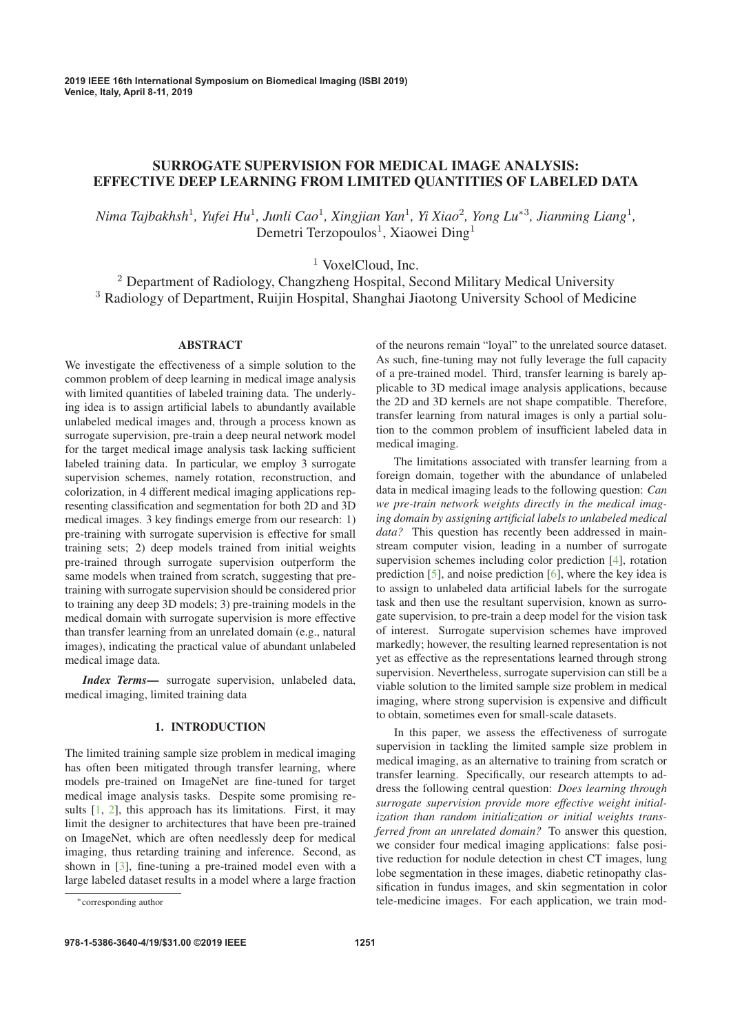# SURROGATE SUPERVISION FOR MEDICAL IMAGE ANALYSIS:<br>EFFECTIVE DEEP LEARNING FROM LIMITED QUANTITIES OF LABELED DATA EFFECTIVE DEEP LEARNING FROM LIMITED QUANTITIES OF LABELED DATA

*Nima Tajbakhsh*<sup>1</sup>*, Yufei Hu*<sup>1</sup>*, Junli Cao*<sup>1</sup>*, Xingjian Yan*<sup>1</sup>*, Yi Xiao*<sup>2</sup>*, Yong Lu*∗<sup>3</sup>*, Jianming Liang*<sup>1</sup>*,* Demetri Terzopoulos<sup>1</sup>, Xiaowei Ding<sup>1</sup>

<sup>1</sup> VoxelCloud, Inc.

<sup>2</sup> Department of Radiology, Changzheng Hospital, Second Military Medical University <sup>3</sup> Radiology of Department, Ruijin Hospital, Shanghai Jiaotong University School of Medicine

#### **ABSTRACT**

ABSTRACT We investigate the effectiveness of a simple solution to the common problem of deep learning in medical image analysis with limited quantities of labeled training data. The underlying idea is to assign artificial labels to abundantly available unlabeled medical images and, through a process known as surrogate supervision, pre-train a deep neural network model for the target medical image analysis task lacking sufficient labeled training data. In particular, we employ 3 surrogate supervision schemes, namely rotation, reconstruction, and colorization, in 4 different medical imaging applications representing classification and segmentation for both 2D and 3D medical images. 3 key findings emerge from our research: 1) pre-training with surrogate supervision is effective for small training sets; 2) deep models trained from initial weights pre-trained through surrogate supervision outperform the same models when trained from scratch, suggesting that pretraining with surrogate supervision should be considered prior to training any deep 3D models; 3) pre-training models in the medical domain with surrogate supervision is more effective than transfer learning from an unrelated domain (e.g., natural images), indicating the practical value of abundant unlabeled medical image data.

*Index Terms*— surrogate supervision, unlabeled data, medical imaging, limited training data

# 1. INTRODUCTION

The limited training sample size problem in medical imaging has often been mitigated through transfer learning, where models pre-trained on ImageNet are fine-tuned for target medical image analysis tasks. Despite some promising results  $[1, 2]$ , this approach has its limitations. First, it may limit the designer to architectures that have been pre-trained on ImageNet, which are often needlessly deep for medical imaging, thus retarding training and inference. Second, as shown in [3], fine-tuning a pre-trained model even with a large labeled dataset results in a model where a large fraction of the neurons remain "loyal" to the unrelated source dataset. As such, fine-tuning may not fully leverage the full capacity of a pre-trained model. Third, transfer learning is barely applicable to 3D medical image analysis applications, because the 2D and 3D kernels are not shape compatible. Therefore, transfer learning from natural images is only a partial solution to the common problem of insufficient labeled data in medical imaging.

The limitations associated with transfer learning from a foreign domain, together with the abundance of unlabeled data in medical imaging leads to the following question: *Can we pre-train network weights directly in the medical imaging domain by assigning artificial labels to unlabeled medical data?* This question has recently been addressed in mainstream computer vision, leading in a number of surrogate supervision schemes including color prediction [4], rotation prediction [5], and noise prediction [6], where the key idea is to assign to unlabeled data artificial labels for the surrogate task and then use the resultant supervision, known as surrogate supervision, to pre-train a deep model for the vision task of interest. Surrogate supervision schemes have improved markedly; however, the resulting learned representation is not yet as effective as the representations learned through strong supervision. Nevertheless, surrogate supervision can still be a viable solution to the limited sample size problem in medical imaging, where strong supervision is expensive and difficult to obtain, sometimes even for small-scale datasets.

In this paper, we assess the effectiveness of surrogate supervision in tackling the limited sample size problem in medical imaging, as an alternative to training from scratch or transfer learning. Specifically, our research attempts to address the following central question: *Does learning through surrogate supervision provide more effective weight initialization than random initialization or initial weights transferred from an unrelated domain?* To answer this question, we consider four medical imaging applications: false positive reduction for nodule detection in chest CT images, lung lobe segmentation in these images, diabetic retinopathy classification in fundus images, and skin segmentation in color tele-medicine images. For each application, we train mod-

<sup>∗</sup>corresponding author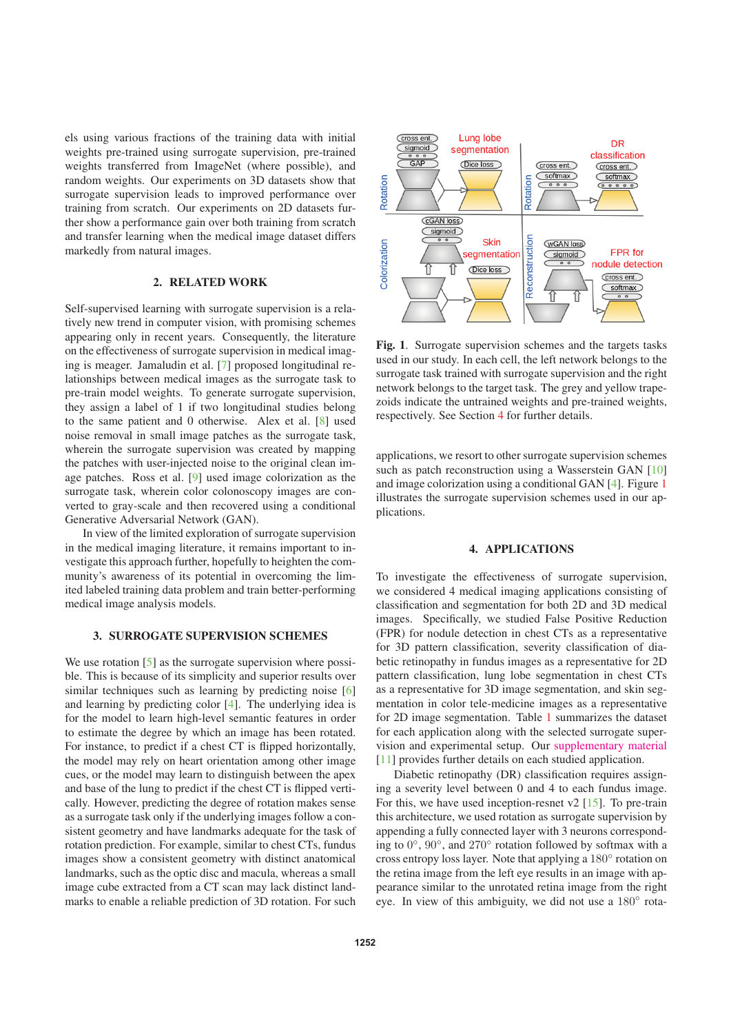els using various fractions of the training data with initial weights pre-trained using surrogate supervision, pre-trained weights transferred from ImageNet (where possible), and random weights. Our experiments on 3D datasets show that surrogate supervision leads to improved performance over training from scratch. Our experiments on 2D datasets further show a performance gain over both training from scratch and transfer learning when the medical image dataset differs markedly from natural images.

### 2. RELATIVE WORK

Self-supervised learning with surrogate supervision is a relatively new trend in computer vision, with promising schemes appearing only in recent years. Consequently, the literature on the effectiveness of surrogate supervision in medical imaging is meager. Jamaludin et al. [7] proposed longitudinal relationships between medical images as the surrogate task to pre-train model weights. To generate surrogate supervision, they assign a label of 1 if two longitudinal studies belong to the same patient and 0 otherwise. Alex et al. [8] used noise removal in small image patches as the surrogate task, wherein the surrogate supervision was created by mapping the patches with user-injected noise to the original clean image patches. Ross et al. [9] used image colorization as the surrogate task, wherein color colonoscopy images are converted to gray-scale and then recovered using a conditional Generative Adversarial Network (GAN).

In view of the limited exploration of surrogate supervision in the medical imaging literature, it remains important to investigate this approach further, hopefully to heighten the community's awareness of its potential in overcoming the limited labeled training data problem and train better-performing medical image analysis models.

### 3. SURROGATE SUPERVISION SURROG

We use rotation [5] as the surrogate supervision where possible. This is because of its simplicity and superior results over similar techniques such as learning by predicting noise [6] and learning by predicting color [4]. The underlying idea is for the model to learn high-level semantic features in order to estimate the degree by which an image has been rotated. For instance, to predict if a chest CT is flipped horizontally, the model may rely on heart orientation among other image cues, or the model may learn to distinguish between the apex and base of the lung to predict if the chest CT is flipped vertically. However, predicting the degree of rotation makes sense as a surrogate task only if the underlying images follow a consistent geometry and have landmarks adequate for the task of rotation prediction. For example, similar to chest CTs, fundus images show a consistent geometry with distinct anatomical landmarks, such as the optic disc and macula, whereas a small image cube extracted from a CT scan may lack distinct landmarks to enable a reliable prediction of 3D rotation. For such



Fig. 1. Surrogate supervision schemes and the targets tasks used in our study. In each cell, the left network belongs to the surrogate task trained with surrogate supervision and the right network belongs to the target task. The grey and yellow trapezoids indicate the untrained weights and pre-trained weights, respectively. See Section 4 for further details.

applications, we resort to other surrogate supervision schemes such as patch reconstruction using a Wasserstein GAN [10] and image colorization using a conditional GAN [4]. Figure 1 illustrates the surrogate supervision schemes used in our applications.

#### 4. APPLICATIONS

To investigate the effectiveness of surrogate supervision, we considered 4 medical imaging applications consisting of classification and segmentation for both 2D and 3D medical images. Specifically, we studied False Positive Reduction (FPR) for nodule detection in chest CTs as a representative for 3D pattern classification, severity classification of diabetic retinopathy in fundus images as a representative for 2D pattern classification, lung lobe segmentation in chest CTs as a representative for 3D image segmentation, and skin segmentation in color tele-medicine images as a representative for 2D image segmentation. Table 1 summarizes the dataset for each application along with the selected surrogate supervision and experimental setup. Our supplementary material [11] provides further details on each studied application.

Diabetic retinopathy (DR) classification requires assigning a severity level between 0 and 4 to each fundus image. For this, we have used inception-resnet v2 [15]. To pre-train this architecture, we used rotation as surrogate supervision by appending a fully connected layer with 3 neurons corresponding to  $0^\circ$ ,  $90^\circ$ , and  $270^\circ$  rotation followed by softmax with a cross entropy loss layer. Note that applying a 180◦ rotation on the retina image from the left eye results in an image with appearance similar to the unrotated retina image from the right eye. In view of this ambiguity, we did not use a 180◦ rota-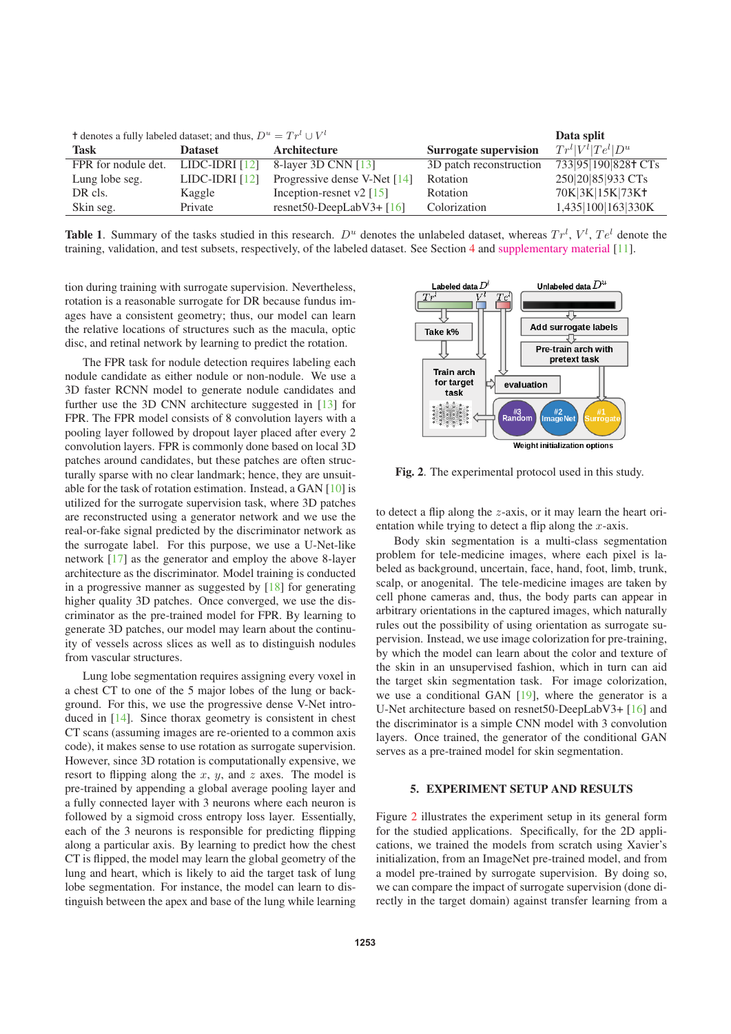| † denotes a fully labeled dataset; and thus, $D^u = Tr^l \cup V^l$ |                  |                                |                              | Data split                  |
|--------------------------------------------------------------------|------------------|--------------------------------|------------------------------|-----------------------------|
| Task                                                               | <b>Dataset</b>   | Architecture                   | <b>Surrogate supervision</b> | $Tr^{l} V^{l} Te^{l} D^{u}$ |
| FPR for nodule det.                                                | $LIDC-IDRI [12]$ | 8-layer 3D CNN [13]            | 3D patch reconstruction      | 733 95 190 828 cTs          |
| Lung lobe seg.                                                     | $LIDC-IDRI [12]$ | Progressive dense V-Net $[14]$ | Rotation                     | 250 20 85 933 CTs           |
| DR cls.                                                            | Kaggle           | Inception-resnet $v2$ [15]     | Rotation                     | 70K 3K 15K 73K +            |
| Skin seg.                                                          | Private          | resnet50-DeepLabV3+ $[16]$     | Colorization                 | 1,435 100 163 330K          |

**Table 1.** Summary of the tasks studied in this research.  $D^u$  denotes the unlabeled dataset, whereas  $Tr^l$ ,  $V^l$ ,  $Te^l$  denote the training validation, and test subsets respectively of the labeled dataset. See Section training, validation, and test subsets, respectively, of the labeled dataset. See Section 4 and supplementary material [11].

tion during training with surrogate supervision. Nevertheless, rotation is a reasonable surrogate for DR because fundus images have a consistent geometry; thus, our model can learn the relative locations of structures such as the macula, optic disc, and retinal network by learning to predict the rotation.

The FPR task for nodule detection requires labeling each nodule candidate as either nodule or non-nodule. We use a 3D faster RCNN model to generate nodule candidates and further use the 3D CNN architecture suggested in [13] for FPR. The FPR model consists of 8 convolution layers with a pooling layer followed by dropout layer placed after every 2 convolution layers. FPR is commonly done based on local 3D patches around candidates, but these patches are often structurally sparse with no clear landmark; hence, they are unsuitable for the task of rotation estimation. Instead, a GAN [10] is utilized for the surrogate supervision task, where 3D patches are reconstructed using a generator network and we use the real-or-fake signal predicted by the discriminator network as the surrogate label. For this purpose, we use a U-Net-like network [17] as the generator and employ the above 8-layer architecture as the discriminator. Model training is conducted in a progressive manner as suggested by [18] for generating higher quality 3D patches. Once converged, we use the discriminator as the pre-trained model for FPR. By learning to generate 3D patches, our model may learn about the continuity of vessels across slices as well as to distinguish nodules from vascular structures.

Lung lobe segmentation requires assigning every voxel in a chest CT to one of the 5 major lobes of the lung or background. For this, we use the progressive dense V-Net introduced in [14]. Since thorax geometry is consistent in chest CT scans (assuming images are re-oriented to a common axis code), it makes sense to use rotation as surrogate supervision. However, since 3D rotation is computationally expensive, we resort to flipping along the  $x$ ,  $y$ , and  $z$  axes. The model is pre-trained by appending a global average pooling layer and a fully connected layer with 3 neurons where each neuron is followed by a sigmoid cross entropy loss layer. Essentially, each of the 3 neurons is responsible for predicting flipping along a particular axis. By learning to predict how the chest CT is flipped, the model may learn the global geometry of the lung and heart, which is likely to aid the target task of lung lobe segmentation. For instance, the model can learn to distinguish between the apex and base of the lung while learning



Fig. 2. The experimental protocol used in this study.

to detect a flip along the z-axis, or it may learn the heart orientation while trying to detect a flip along the  $x$ -axis.

Body skin segmentation is a multi-class segmentation problem for tele-medicine images, where each pixel is labeled as background, uncertain, face, hand, foot, limb, trunk, scalp, or anogenital. The tele-medicine images are taken by cell phone cameras and, thus, the body parts can appear in arbitrary orientations in the captured images, which naturally rules out the possibility of using orientation as surrogate supervision. Instead, we use image colorization for pre-training, by which the model can learn about the color and texture of the skin in an unsupervised fashion, which in turn can aid the target skin segmentation task. For image colorization, we use a conditional GAN [19], where the generator is a U-Net architecture based on resnet50-DeepLabV3+ [16] and the discriminator is a simple CNN model with 3 convolution layers. Once trained, the generator of the conditional GAN serves as a pre-trained model for skin segmentation.

## 5. EXPERIMENT SETUP AND RESULTS

Figure 2 illustrates the experiment setup in its general form for the studied applications. Specifically, for the 2D applications, we trained the models from scratch using Xavier's initialization, from an ImageNet pre-trained model, and from a model pre-trained by surrogate supervision. By doing so, we can compare the impact of surrogate supervision (done directly in the target domain) against transfer learning from a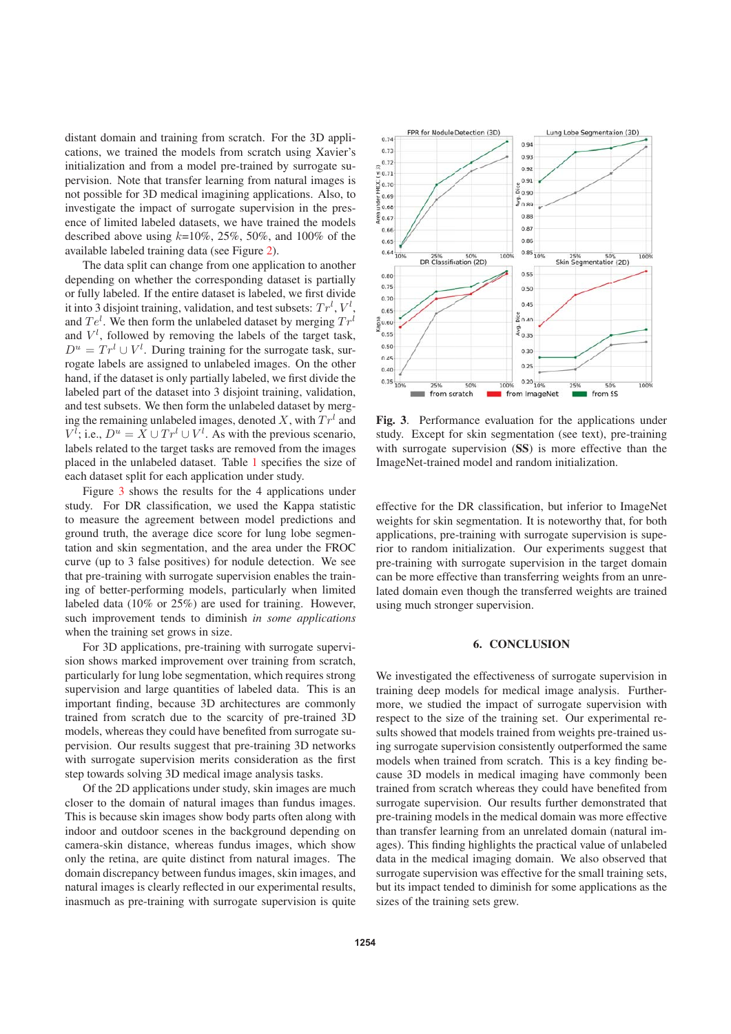distant domain and training from scratch. For the 3D applications, we trained the models from scratch using Xavier's initialization and from a model pre-trained by surrogate supervision. Note that transfer learning from natural images is not possible for 3D medical imagining applications. Also, to investigate the impact of surrogate supervision in the presence of limited labeled datasets, we have trained the models described above using  $k=10\%$ , 25%, 50%, and 100% of the available labeled training data (see Figure 2).

The data split can change from one application to another depending on whether the corresponding dataset is partially or fully labeled. If the entire dataset is labeled, we first divide it into 3 disjoint training, validation, and test subsets:  $Tr^{l}$ ,  $V^{l}$ , and  $Te^{l}$ . We then form the unlabeled dataset by merging  $Tr^{l}$ and  $V^l$ , followed by removing the labels of the target task,  $D^u = Tr^l \cup V^l$ . During training for the surrogate task, surrogate labels are assigned to unlabeled images. On the other hand, if the dataset is only partially labeled, we first divide the labeled part of the dataset into 3 disjoint training, validation, and test subsets. We then form the unlabeled dataset by merging the remaining unlabeled images, denoted X, with  $Tr<sup>l</sup>$  and  $V^l$ ; i.e.,  $D^u = X \cup Tr^l \cup V^l$ . As with the previous scenario, labels related to the target tasks are removed from the images placed in the unlabeled dataset. Table 1 specifies the size of each dataset split for each application under study.

Figure 3 shows the results for the 4 applications under study. For DR classification, we used the Kappa statistic to measure the agreement between model predictions and ground truth, the average dice score for lung lobe segmentation and skin segmentation, and the area under the FROC curve (up to 3 false positives) for nodule detection. We see that pre-training with surrogate supervision enables the training of better-performing models, particularly when limited labeled data (10% or 25%) are used for training. However, such improvement tends to diminish *in some applications* when the training set grows in size.

For 3D applications, pre-training with surrogate supervision shows marked improvement over training from scratch, particularly for lung lobe segmentation, which requires strong supervision and large quantities of labeled data. This is an important finding, because 3D architectures are commonly trained from scratch due to the scarcity of pre-trained 3D models, whereas they could have benefited from surrogate supervision. Our results suggest that pre-training 3D networks with surrogate supervision merits consideration as the first step towards solving 3D medical image analysis tasks.

Of the 2D applications under study, skin images are much closer to the domain of natural images than fundus images. This is because skin images show body parts often along with indoor and outdoor scenes in the background depending on camera-skin distance, whereas fundus images, which show only the retina, are quite distinct from natural images. The domain discrepancy between fundus images, skin images, and natural images is clearly reflected in our experimental results, inasmuch as pre-training with surrogate supervision is quite



Fig. 3. Performance evaluation for the applications under study. Except for skin segmentation (see text), pre-training with surrogate supervision (SS) is more effective than the ImageNet-trained model and random initialization.

effective for the DR classification, but inferior to ImageNet weights for skin segmentation. It is noteworthy that, for both applications, pre-training with surrogate supervision is superior to random initialization. Our experiments suggest that pre-training with surrogate supervision in the target domain can be more effective than transferring weights from an unrelated domain even though the transferred weights are trained using much stronger supervision.

### 6. CONCLUSION

We investigated the effectiveness of surrogate supervision in training deep models for medical image analysis. Furthermore, we studied the impact of surrogate supervision with respect to the size of the training set. Our experimental results showed that models trained from weights pre-trained using surrogate supervision consistently outperformed the same models when trained from scratch. This is a key finding because 3D models in medical imaging have commonly been trained from scratch whereas they could have benefited from surrogate supervision. Our results further demonstrated that pre-training models in the medical domain was more effective than transfer learning from an unrelated domain (natural images). This finding highlights the practical value of unlabeled data in the medical imaging domain. We also observed that surrogate supervision was effective for the small training sets, but its impact tended to diminish for some applications as the sizes of the training sets grew.